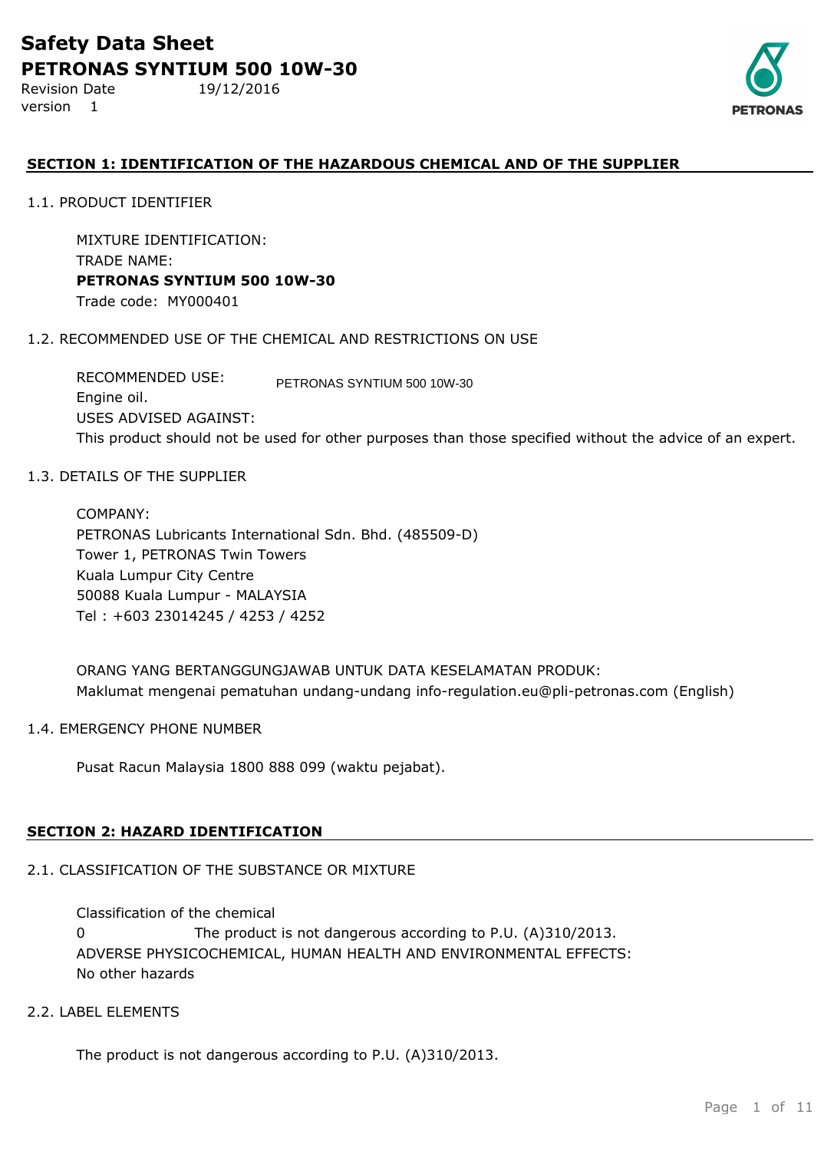Revision Date 19/12/2016 version 1



## **SECTION 1: IDENTIFICATION OF THE HAZARDOUS CHEMICAL AND OF THE SUPPLIER**

1.1. PRODUCT IDENTIFIER

MIXTURE IDENTIFICATION: TRADE NAME: **PETRONAS SYNTIUM 500 10W-30** Trade code: MY000401

## 1.2. RECOMMENDED USE OF THE CHEMICAL AND RESTRICTIONS ON USE

RECOMMENDED USE: Engine oil. USES ADVISED AGAINST: This product should not be used for other purposes than those specified without the advice of an expert. PETRONAS SYNTIUM 500 10W-30

## 1.3. DETAILS OF THE SUPPLIER

COMPANY: PETRONAS Lubricants International Sdn. Bhd. (485509-D) Tower 1, PETRONAS Twin Towers Kuala Lumpur City Centre 50088 Kuala Lumpur - MALAYSIA Tel : +603 23014245 / 4253 / 4252

ORANG YANG BERTANGGUNGJAWAB UNTUK DATA KESELAMATAN PRODUK: Maklumat mengenai pematuhan undang-undang info-regulation.eu@pli-petronas.com (English)

## 1.4. EMERGENCY PHONE NUMBER

Pusat Racun Malaysia 1800 888 099 (waktu pejabat).

## **SECTION 2: HAZARD IDENTIFICATION**

## 2.1. CLASSIFICATION OF THE SUBSTANCE OR MIXTURE

ADVERSE PHYSICOCHEMICAL, HUMAN HEALTH AND ENVIRONMENTAL EFFECTS: No other hazards Classification of the chemical 0 The product is not dangerous according to P.U. (A)310/2013.

## 2.2. LABEL ELEMENTS

The product is not dangerous according to P.U. (A)310/2013.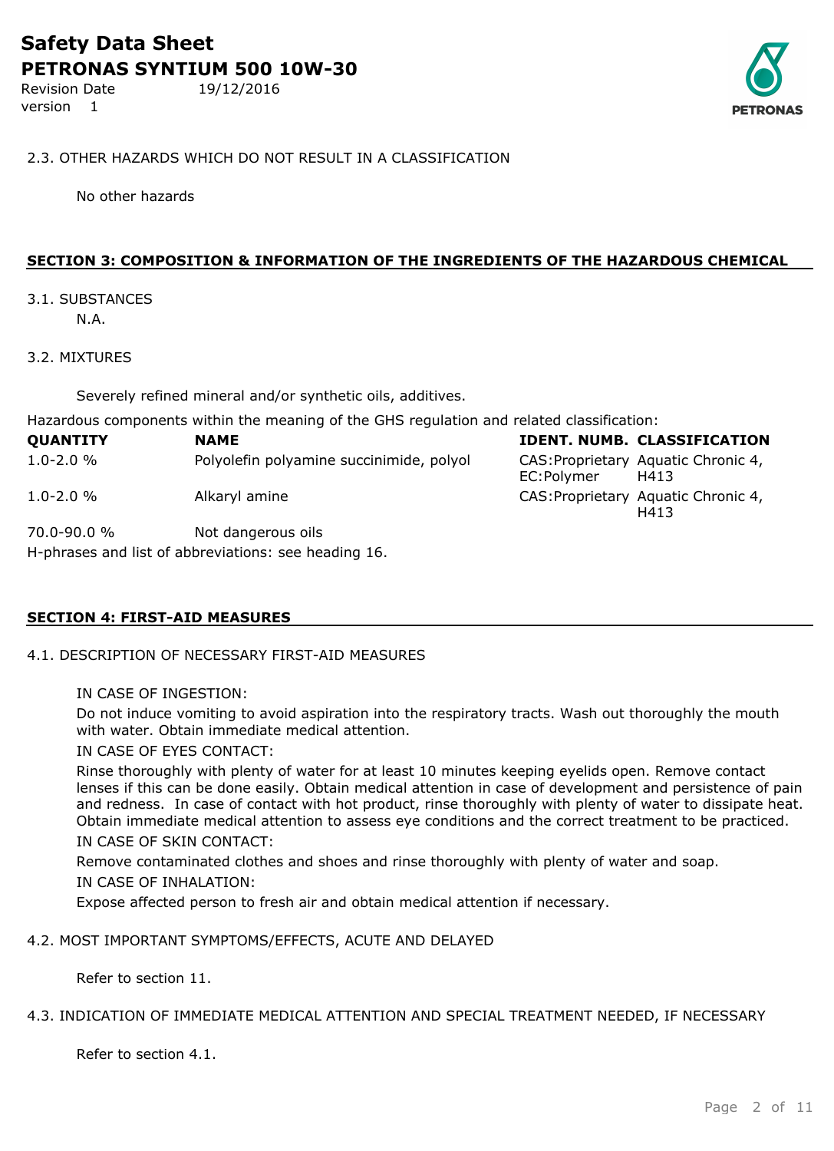Revision Date 19/12/2016 version 1



## 2.3. OTHER HAZARDS WHICH DO NOT RESULT IN A CLASSIFICATION

No other hazards

## **SECTION 3: COMPOSITION & INFORMATION OF THE INGREDIENTS OF THE HAZARDOUS CHEMICAL**

#### 3.1. SUBSTANCES N.A.

## 3.2. MIXTURES

Severely refined mineral and/or synthetic oils, additives.

Hazardous components within the meaning of the GHS regulation and related classification:

| <b>QUANTITY</b>                                      | <b>NAME</b>                              |            | <b>IDENT. NUMB. CLASSIFICATION</b>          |  |
|------------------------------------------------------|------------------------------------------|------------|---------------------------------------------|--|
| $1.0 - 2.0 %$                                        | Polyolefin polyamine succinimide, polyol | EC:Polymer | CAS: Proprietary Aquatic Chronic 4,<br>H413 |  |
| $1.0 - 2.0 %$                                        | Alkaryl amine                            |            | CAS: Proprietary Aquatic Chronic 4,<br>H413 |  |
| 70.0-90.0 %                                          | Not dangerous oils                       |            |                                             |  |
| H-phrases and list of abbreviations: see heading 16. |                                          |            |                                             |  |

## **SECTION 4: FIRST-AID MEASURES**

- 4.1. DESCRIPTION OF NECESSARY FIRST-AID MEASURES
	- IN CASE OF INGESTION:

Do not induce vomiting to avoid aspiration into the respiratory tracts. Wash out thoroughly the mouth with water. Obtain immediate medical attention.

## IN CASE OF EYES CONTACT:

Rinse thoroughly with plenty of water for at least 10 minutes keeping eyelids open. Remove contact lenses if this can be done easily. Obtain medical attention in case of development and persistence of pain and redness. In case of contact with hot product, rinse thoroughly with plenty of water to dissipate heat. Obtain immediate medical attention to assess eye conditions and the correct treatment to be practiced. IN CASE OF SKIN CONTACT:

Remove contaminated clothes and shoes and rinse thoroughly with plenty of water and soap. IN CASE OF INHALATION:

Expose affected person to fresh air and obtain medical attention if necessary.

## 4.2. MOST IMPORTANT SYMPTOMS/EFFECTS, ACUTE AND DELAYED

Refer to section 11.

#### 4.3. INDICATION OF IMMEDIATE MEDICAL ATTENTION AND SPECIAL TREATMENT NEEDED, IF NECESSARY

Refer to section 4.1.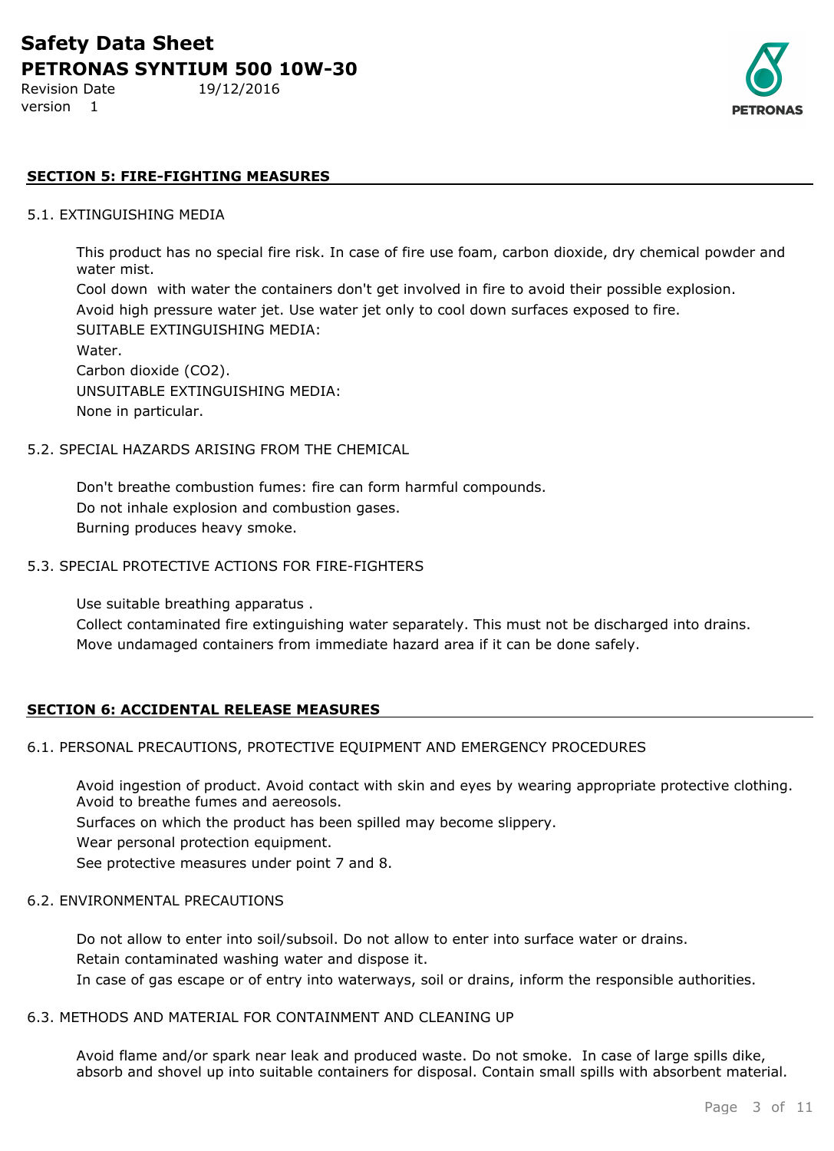Revision Date 19/12/2016 version 1



## **SECTION 5: FIRE-FIGHTING MEASURES**

#### 5.1. EXTINGUISHING MEDIA

This product has no special fire risk. In case of fire use foam, carbon dioxide, dry chemical powder and water mist.

Cool down with water the containers don't get involved in fire to avoid their possible explosion. Avoid high pressure water jet. Use water jet only to cool down surfaces exposed to fire. SUITABLE EXTINGUISHING MEDIA: Water. Carbon dioxide (CO2). UNSUITABLE EXTINGUISHING MEDIA:

None in particular.

#### 5.2. SPECIAL HAZARDS ARISING FROM THE CHEMICAL

Don't breathe combustion fumes: fire can form harmful compounds. Do not inhale explosion and combustion gases. Burning produces heavy smoke.

## 5.3. SPECIAL PROTECTIVE ACTIONS FOR FIRE-FIGHTERS

Use suitable breathing apparatus .

Collect contaminated fire extinguishing water separately. This must not be discharged into drains. Move undamaged containers from immediate hazard area if it can be done safely.

## **SECTION 6: ACCIDENTAL RELEASE MEASURES**

## 6.1. PERSONAL PRECAUTIONS, PROTECTIVE EQUIPMENT AND EMERGENCY PROCEDURES

Avoid ingestion of product. Avoid contact with skin and eyes by wearing appropriate protective clothing. Avoid to breathe fumes and aereosols.

Surfaces on which the product has been spilled may become slippery.

Wear personal protection equipment.

See protective measures under point 7 and 8.

#### 6.2. ENVIRONMENTAL PRECAUTIONS

Do not allow to enter into soil/subsoil. Do not allow to enter into surface water or drains. Retain contaminated washing water and dispose it. In case of gas escape or of entry into waterways, soil or drains, inform the responsible authorities.

#### 6.3. METHODS AND MATERIAL FOR CONTAINMENT AND CLEANING UP

Avoid flame and/or spark near leak and produced waste. Do not smoke. In case of large spills dike, absorb and shovel up into suitable containers for disposal. Contain small spills with absorbent material.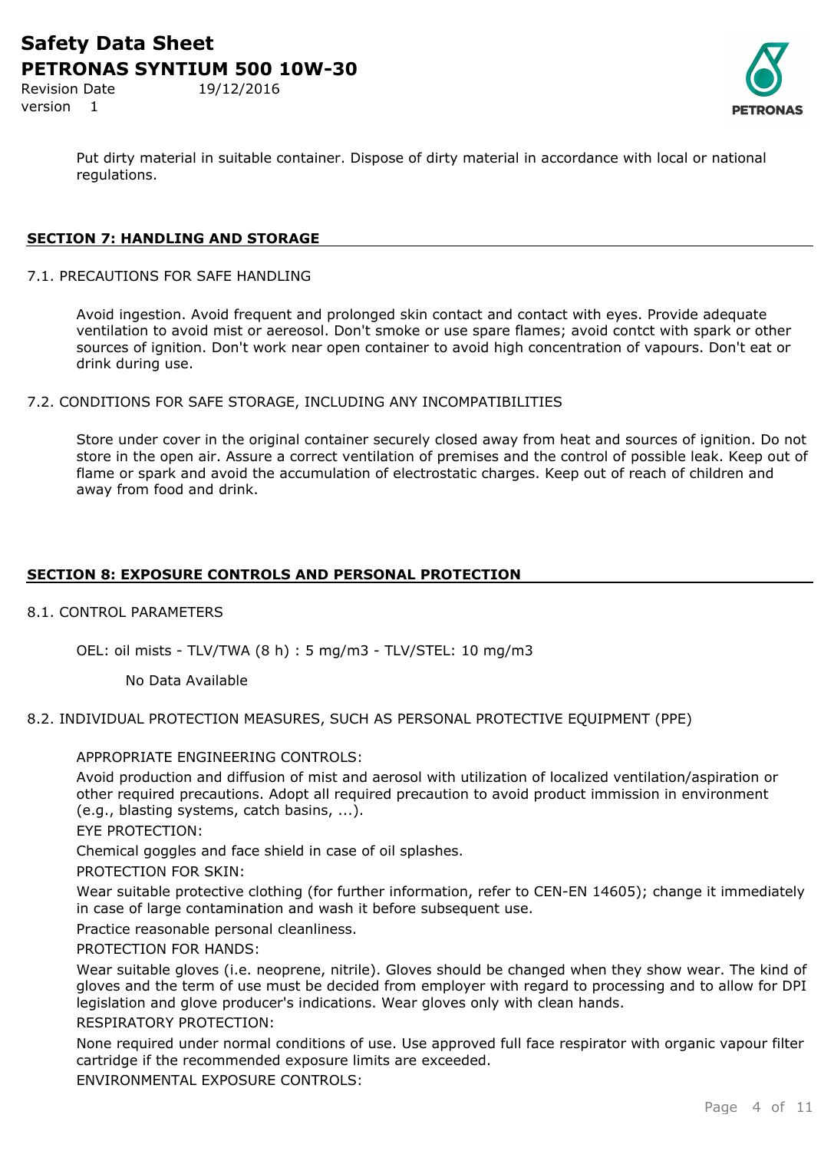Revision Date 19/12/2016 version 1



Put dirty material in suitable container. Dispose of dirty material in accordance with local or national regulations.

## **SECTION 7: HANDLING AND STORAGE**

7.1. PRECAUTIONS FOR SAFE HANDLING

Avoid ingestion. Avoid frequent and prolonged skin contact and contact with eyes. Provide adequate ventilation to avoid mist or aereosol. Don't smoke or use spare flames; avoid contct with spark or other sources of ignition. Don't work near open container to avoid high concentration of vapours. Don't eat or drink during use.

7.2. CONDITIONS FOR SAFE STORAGE, INCLUDING ANY INCOMPATIBILITIES

Store under cover in the original container securely closed away from heat and sources of ignition. Do not store in the open air. Assure a correct ventilation of premises and the control of possible leak. Keep out of flame or spark and avoid the accumulation of electrostatic charges. Keep out of reach of children and away from food and drink.

## **SECTION 8: EXPOSURE CONTROLS AND PERSONAL PROTECTION**

## 8.1. CONTROL PARAMETERS

OEL: oil mists - TLV/TWA (8 h) : 5 mg/m3 - TLV/STEL: 10 mg/m3

No Data Available

8.2. INDIVIDUAL PROTECTION MEASURES, SUCH AS PERSONAL PROTECTIVE EQUIPMENT (PPE)

## APPROPRIATE ENGINEERING CONTROLS:

Avoid production and diffusion of mist and aerosol with utilization of localized ventilation/aspiration or other required precautions. Adopt all required precaution to avoid product immission in environment (e.g., blasting systems, catch basins, ...).

EYE PROTECTION:

Chemical goggles and face shield in case of oil splashes.

PROTECTION FOR SKIN:

Wear suitable protective clothing (for further information, refer to CEN-EN 14605); change it immediately in case of large contamination and wash it before subsequent use.

Practice reasonable personal cleanliness.

#### PROTECTION FOR HANDS:

Wear suitable gloves (i.e. neoprene, nitrile). Gloves should be changed when they show wear. The kind of gloves and the term of use must be decided from employer with regard to processing and to allow for DPI legislation and glove producer's indications. Wear gloves only with clean hands.

## RESPIRATORY PROTECTION:

None required under normal conditions of use. Use approved full face respirator with organic vapour filter cartridge if the recommended exposure limits are exceeded.

ENVIRONMENTAL EXPOSURE CONTROLS: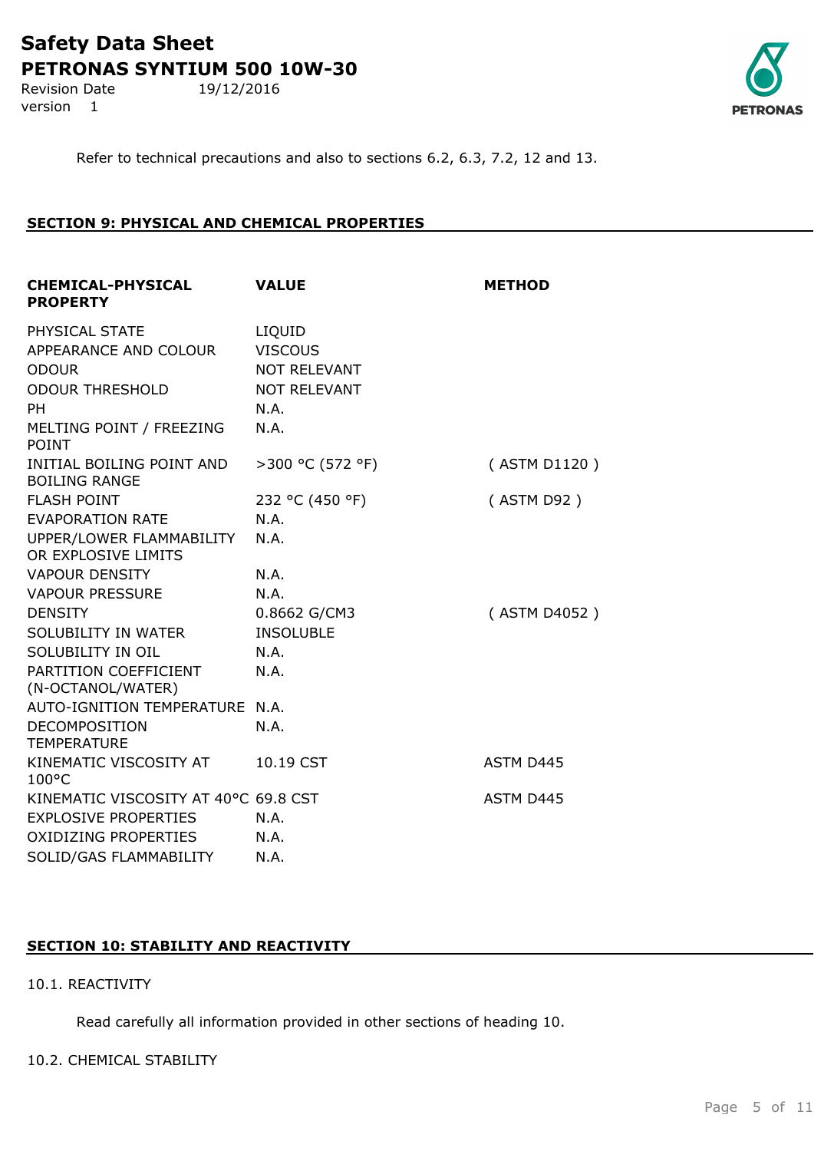Revision Date 19/12/2016 version 1



Refer to technical precautions and also to sections 6.2, 6.3, 7.2, 12 and 13.

## **SECTION 9: PHYSICAL AND CHEMICAL PROPERTIES**

| <b>CHEMICAL-PHYSICAL</b><br><b>PROPERTY</b>       | <b>VALUE</b>        | <b>METHOD</b> |
|---------------------------------------------------|---------------------|---------------|
| PHYSICAL STATE                                    | LIQUID              |               |
| APPEARANCE AND COLOUR                             | <b>VISCOUS</b>      |               |
| <b>ODOUR</b>                                      | NOT RELEVANT        |               |
| <b>ODOUR THRESHOLD</b>                            | <b>NOT RELEVANT</b> |               |
| <b>PH</b>                                         | N.A.                |               |
| MELTING POINT / FREEZING<br><b>POINT</b>          | N.A.                |               |
| INITIAL BOILING POINT AND<br><b>BOILING RANGE</b> | >300 °C (572 °F)    | (ASTM D1120)  |
| <b>FLASH POINT</b>                                | 232 °C (450 °F)     | (ASTM D92)    |
| <b>EVAPORATION RATE</b>                           | N.A.                |               |
| UPPER/LOWER FLAMMABILITY<br>OR EXPLOSIVE LIMITS   | N.A.                |               |
| <b>VAPOUR DENSITY</b>                             | N.A.                |               |
| <b>VAPOUR PRESSURE</b>                            | N.A.                |               |
| <b>DENSITY</b>                                    | 0.8662 G/CM3        | (ASTM D4052)  |
| SOLUBILITY IN WATER                               | <b>INSOLUBLE</b>    |               |
| SOLUBILITY IN OIL                                 | N.A.                |               |
| PARTITION COEFFICIENT<br>(N-OCTANOL/WATER)        | N.A.                |               |
| AUTO-IGNITION TEMPERATURE N.A.                    |                     |               |
| <b>DECOMPOSITION</b><br><b>TEMPERATURE</b>        | N.A.                |               |
| KINEMATIC VISCOSITY AT<br>$100^{\circ}$ C         | 10.19 CST           | ASTM D445     |
| KINEMATIC VISCOSITY AT 40°C 69.8 CST              |                     | ASTM D445     |
| <b>EXPLOSIVE PROPERTIES</b>                       | N.A.                |               |
| <b>OXIDIZING PROPERTIES</b>                       | N.A.                |               |
| SOLID/GAS FLAMMABILITY                            | N.A.                |               |
|                                                   |                     |               |

## **SECTION 10: STABILITY AND REACTIVITY**

## 10.1. REACTIVITY

Read carefully all information provided in other sections of heading 10.

## 10.2. CHEMICAL STABILITY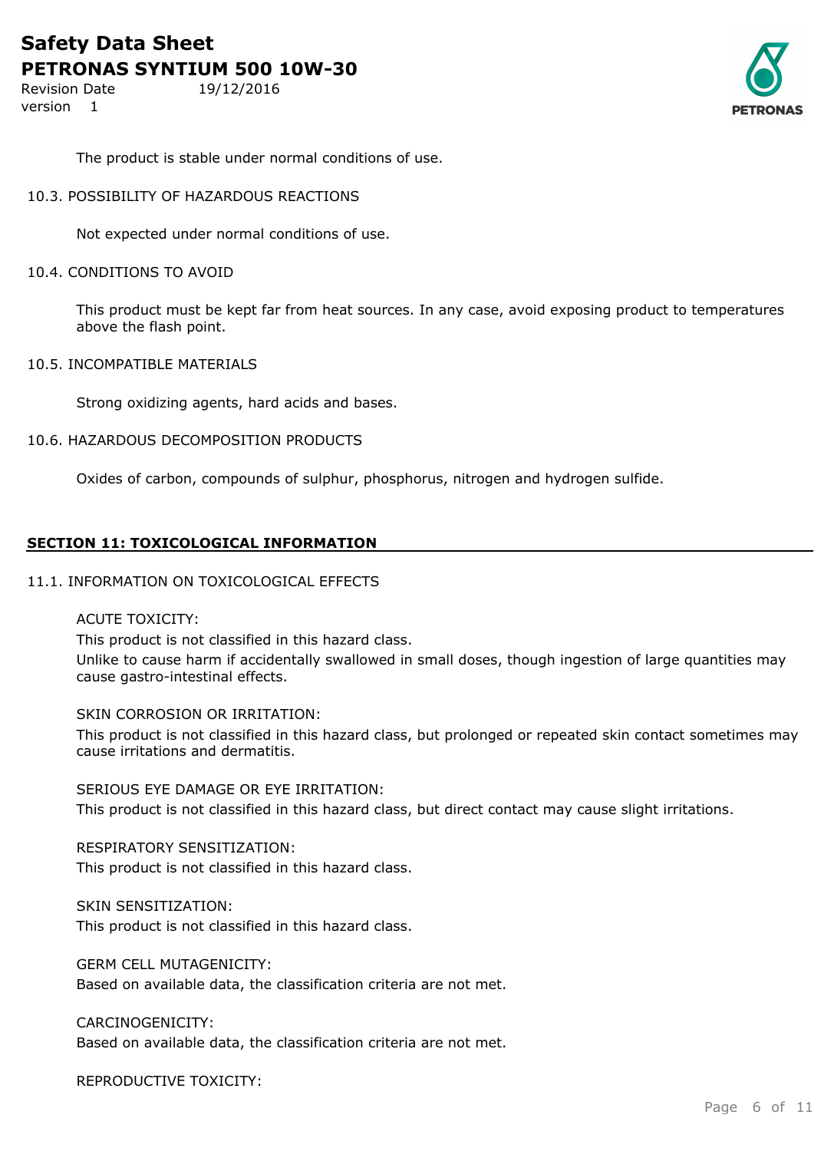Revision Date 19/12/2016 version 1



The product is stable under normal conditions of use.

## 10.3. POSSIBILITY OF HAZARDOUS REACTIONS

Not expected under normal conditions of use.

## 10.4. CONDITIONS TO AVOID

This product must be kept far from heat sources. In any case, avoid exposing product to temperatures above the flash point.

#### 10.5. INCOMPATIBLE MATERIALS

Strong oxidizing agents, hard acids and bases.

## 10.6. HAZARDOUS DECOMPOSITION PRODUCTS

Oxides of carbon, compounds of sulphur, phosphorus, nitrogen and hydrogen sulfide.

## **SECTION 11: TOXICOLOGICAL INFORMATION**

#### 11.1. INFORMATION ON TOXICOLOGICAL EFFECTS

## ACUTE TOXICITY:

This product is not classified in this hazard class. Unlike to cause harm if accidentally swallowed in small doses, though ingestion of large quantities may cause gastro-intestinal effects.

## SKIN CORROSION OR IRRITATION:

This product is not classified in this hazard class, but prolonged or repeated skin contact sometimes may cause irritations and dermatitis.

SERIOUS EYE DAMAGE OR EYE IRRITATION:

This product is not classified in this hazard class, but direct contact may cause slight irritations.

RESPIRATORY SENSITIZATION: This product is not classified in this hazard class.

SKIN SENSITIZATION: This product is not classified in this hazard class.

GERM CELL MUTAGENICITY: Based on available data, the classification criteria are not met.

## CARCINOGENICITY:

Based on available data, the classification criteria are not met.

REPRODUCTIVE TOXICITY: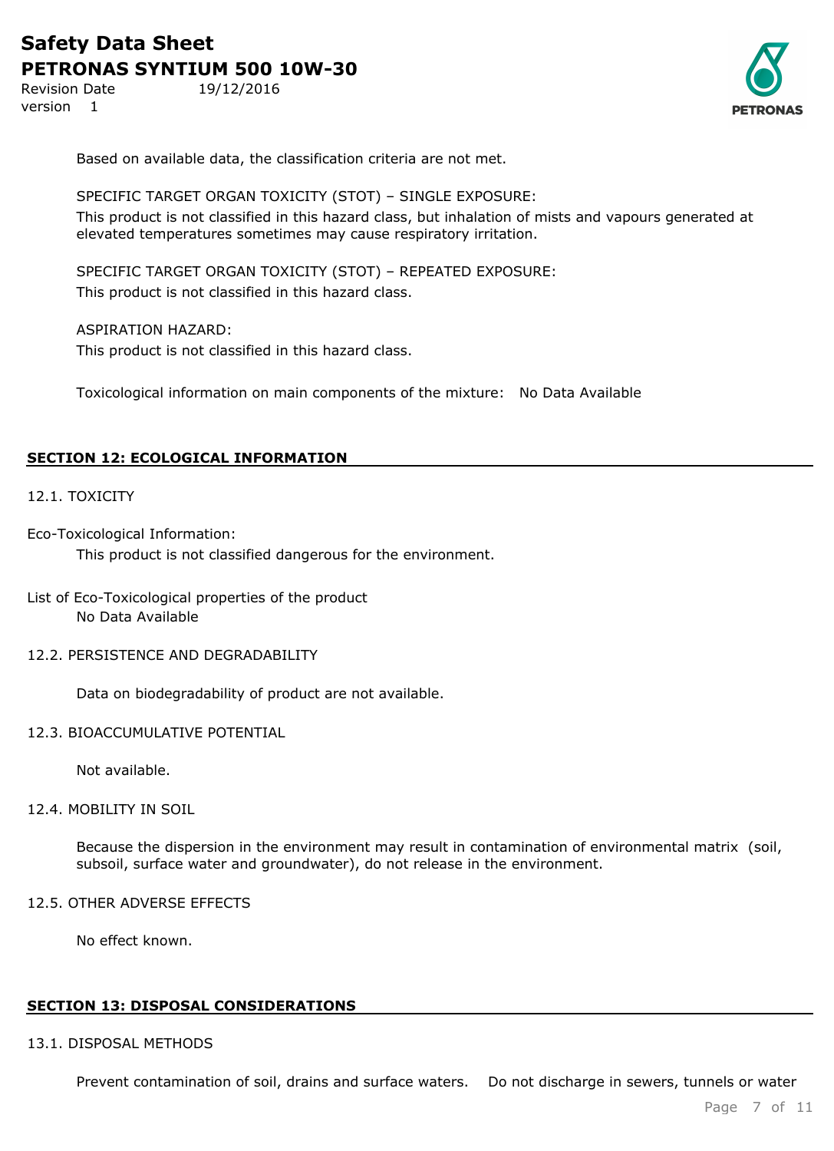Revision Date 19/12/2016 version 1



Based on available data, the classification criteria are not met.

SPECIFIC TARGET ORGAN TOXICITY (STOT) – SINGLE EXPOSURE: This product is not classified in this hazard class, but inhalation of mists and vapours generated at elevated temperatures sometimes may cause respiratory irritation.

SPECIFIC TARGET ORGAN TOXICITY (STOT) – REPEATED EXPOSURE: This product is not classified in this hazard class.

ASPIRATION HAZARD: This product is not classified in this hazard class.

Toxicological information on main components of the mixture: No Data Available

## **SECTION 12: ECOLOGICAL INFORMATION**

## 12.1. TOXICITY

Eco-Toxicological Information:

This product is not classified dangerous for the environment.

## List of Eco-Toxicological properties of the product No Data Available

## 12.2. PERSISTENCE AND DEGRADABILITY

Data on biodegradability of product are not available.

## 12.3. BIOACCUMULATIVE POTENTIAL

Not available.

#### 12.4. MOBILITY IN SOIL

Because the dispersion in the environment may result in contamination of environmental matrix (soil, subsoil, surface water and groundwater), do not release in the environment.

## 12.5. OTHER ADVERSE EFFECTS

No effect known.

## **SECTION 13: DISPOSAL CONSIDERATIONS**

#### 13.1. DISPOSAL METHODS

Prevent contamination of soil, drains and surface waters. Do not discharge in sewers, tunnels or water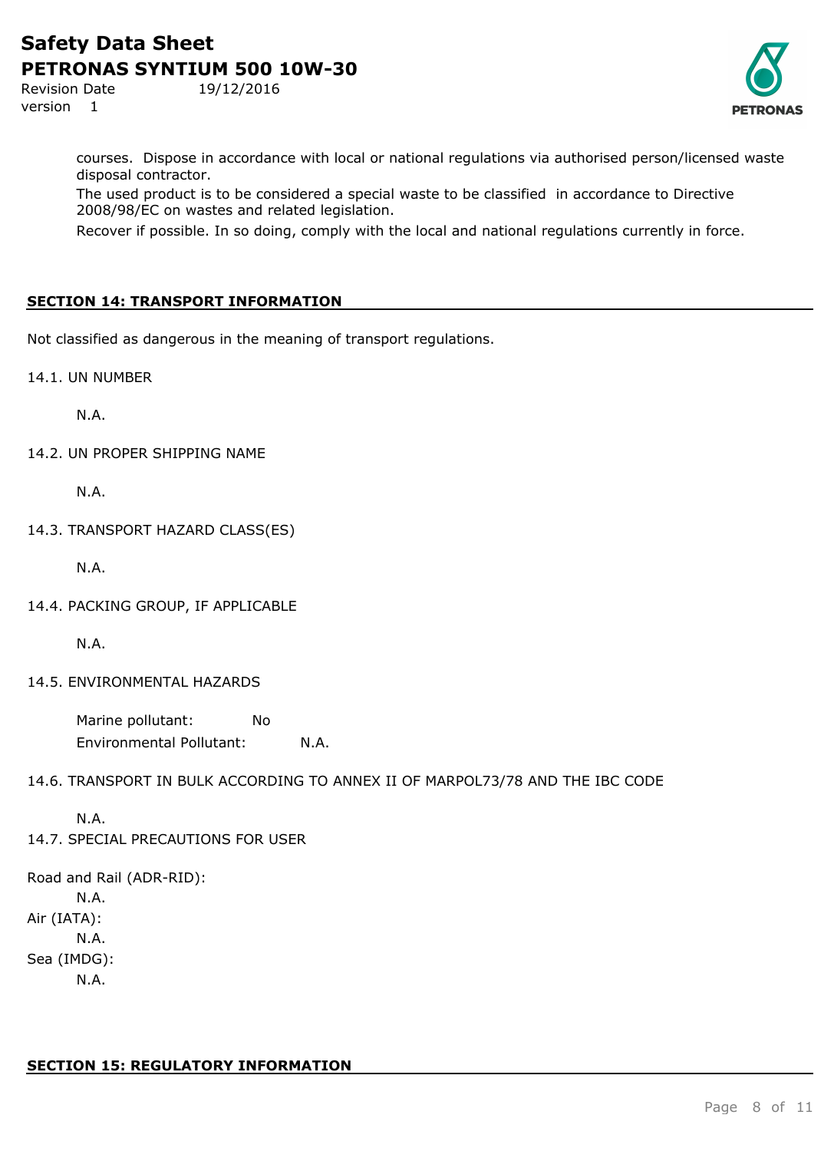Revision Date 19/12/2016 version 1



courses. Dispose in accordance with local or national regulations via authorised person/licensed waste disposal contractor.

The used product is to be considered a special waste to be classified in accordance to Directive 2008/98/EC on wastes and related legislation.

Recover if possible. In so doing, comply with the local and national regulations currently in force.

## **SECTION 14: TRANSPORT INFORMATION**

Not classified as dangerous in the meaning of transport regulations.

14.1. UN NUMBER

N.A.

14.2. UN PROPER SHIPPING NAME

N.A.

14.3. TRANSPORT HAZARD CLASS(ES)

N.A.

14.4. PACKING GROUP, IF APPLICABLE

N.A.

14.5. ENVIRONMENTAL HAZARDS

Marine pollutant: No Environmental Pollutant: N.A.

14.6. TRANSPORT IN BULK ACCORDING TO ANNEX II OF MARPOL73/78 AND THE IBC CODE

N.A.

14.7. SPECIAL PRECAUTIONS FOR USER

Road and Rail (ADR-RID): N.A. Air (IATA): N.A. Sea (IMDG): N.A.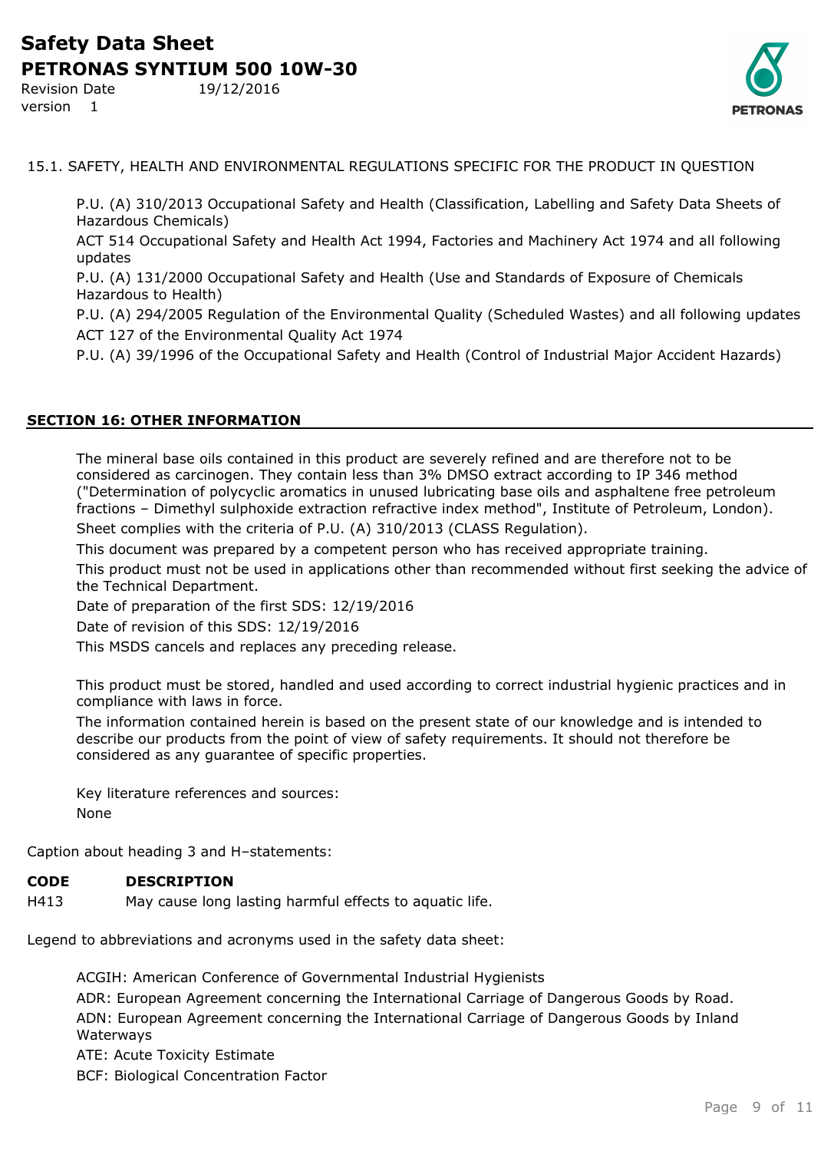Revision Date 19/12/2016 version 1



15.1. SAFETY, HEALTH AND ENVIRONMENTAL REGULATIONS SPECIFIC FOR THE PRODUCT IN QUESTION

P.U. (A) 310/2013 Occupational Safety and Health (Classification, Labelling and Safety Data Sheets of Hazardous Chemicals)

ACT 514 Occupational Safety and Health Act 1994, Factories and Machinery Act 1974 and all following updates

P.U. (A) 131/2000 Occupational Safety and Health (Use and Standards of Exposure of Chemicals Hazardous to Health)

P.U. (A) 294/2005 Regulation of the Environmental Quality (Scheduled Wastes) and all following updates ACT 127 of the Environmental Quality Act 1974

P.U. (A) 39/1996 of the Occupational Safety and Health (Control of Industrial Major Accident Hazards)

## **SECTION 16: OTHER INFORMATION**

The mineral base oils contained in this product are severely refined and are therefore not to be considered as carcinogen. They contain less than 3% DMSO extract according to IP 346 method ("Determination of polycyclic aromatics in unused lubricating base oils and asphaltene free petroleum fractions – Dimethyl sulphoxide extraction refractive index method", Institute of Petroleum, London). Sheet complies with the criteria of P.U. (A) 310/2013 (CLASS Regulation).

This document was prepared by a competent person who has received appropriate training.

This product must not be used in applications other than recommended without first seeking the advice of the Technical Department.

Date of preparation of the first SDS: 12/19/2016

Date of revision of this SDS: 12/19/2016

This MSDS cancels and replaces any preceding release.

This product must be stored, handled and used according to correct industrial hygienic practices and in compliance with laws in force.

The information contained herein is based on the present state of our knowledge and is intended to describe our products from the point of view of safety requirements. It should not therefore be considered as any guarantee of specific properties.

Key literature references and sources: None

Caption about heading 3 and H–statements:

## **CODE DESCRIPTION**

H413 May cause long lasting harmful effects to aquatic life.

Legend to abbreviations and acronyms used in the safety data sheet:

ACGIH: American Conference of Governmental Industrial Hygienists ADR: European Agreement concerning the International Carriage of Dangerous Goods by Road. ADN: European Agreement concerning the International Carriage of Dangerous Goods by Inland Waterways

ATE: Acute Toxicity Estimate

BCF: Biological Concentration Factor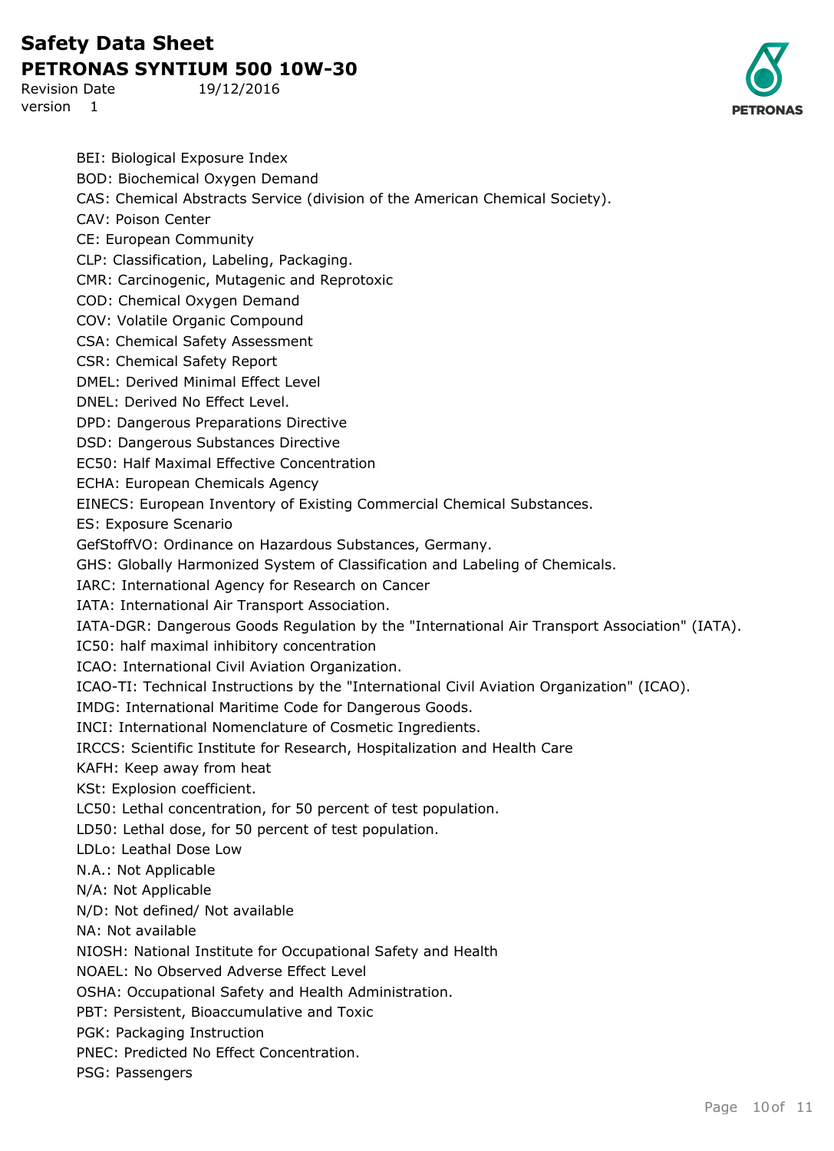Revision Date 19/12/2016 version 1



BEI: Biological Exposure Index BOD: Biochemical Oxygen Demand CAS: Chemical Abstracts Service (division of the American Chemical Society). CAV: Poison Center CE: European Community CLP: Classification, Labeling, Packaging. CMR: Carcinogenic, Mutagenic and Reprotoxic COD: Chemical Oxygen Demand COV: Volatile Organic Compound CSA: Chemical Safety Assessment CSR: Chemical Safety Report DMEL: Derived Minimal Effect Level DNEL: Derived No Effect Level. DPD: Dangerous Preparations Directive DSD: Dangerous Substances Directive EC50: Half Maximal Effective Concentration ECHA: European Chemicals Agency EINECS: European Inventory of Existing Commercial Chemical Substances. ES: Exposure Scenario GefStoffVO: Ordinance on Hazardous Substances, Germany. GHS: Globally Harmonized System of Classification and Labeling of Chemicals. IARC: International Agency for Research on Cancer IATA: International Air Transport Association. IATA-DGR: Dangerous Goods Regulation by the "International Air Transport Association" (IATA). IC50: half maximal inhibitory concentration ICAO: International Civil Aviation Organization. ICAO-TI: Technical Instructions by the "International Civil Aviation Organization" (ICAO). IMDG: International Maritime Code for Dangerous Goods. INCI: International Nomenclature of Cosmetic Ingredients. IRCCS: Scientific Institute for Research, Hospitalization and Health Care KAFH: Keep away from heat KSt: Explosion coefficient. LC50: Lethal concentration, for 50 percent of test population. LD50: Lethal dose, for 50 percent of test population. LDLo: Leathal Dose Low N.A.: Not Applicable N/A: Not Applicable N/D: Not defined/ Not available NA: Not available NIOSH: National Institute for Occupational Safety and Health NOAEL: No Observed Adverse Effect Level OSHA: Occupational Safety and Health Administration. PBT: Persistent, Bioaccumulative and Toxic PGK: Packaging Instruction PNEC: Predicted No Effect Concentration. PSG: Passengers